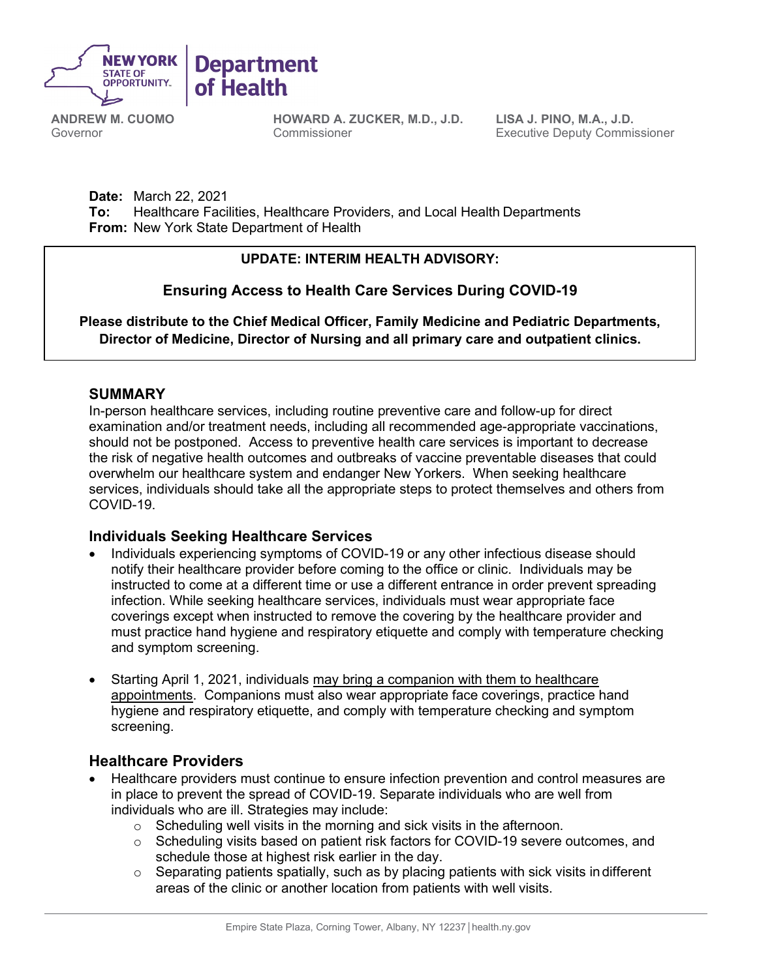

**Department** of Health

**ANDREW M. CUOMO** Governor

**HOWARD A. ZUCKER, M.D., J.D.** Commissioner

**LISA J. PINO, M.A., J.D.** Executive Deputy Commissioner

**Date:** March 22, 2021 **To:** Healthcare Facilities, Healthcare Providers, and Local Health Departments **From:** New York State Department of Health

### **UPDATE: INTERIM HEALTH ADVISORY:**

# **Ensuring Access to Health Care Services During COVID-19**

**Please distribute to the Chief Medical Officer, Family Medicine and Pediatric Departments, Director of Medicine, Director of Nursing and all primary care and outpatient clinics.**

### **SUMMARY**

In-person healthcare services, including routine preventive care and follow-up for direct examination and/or treatment needs, including all recommended age-appropriate vaccinations, should not be postponed. Access to preventive health care services is important to decrease the risk of negative health outcomes and outbreaks of vaccine preventable diseases that could overwhelm our healthcare system and endanger New Yorkers. When seeking healthcare services, individuals should take all the appropriate steps to protect themselves and others from COVID-19.

### **Individuals Seeking Healthcare Services**

- Individuals experiencing symptoms of COVID-19 or any other infectious disease should notify their healthcare provider before coming to the office or clinic. Individuals may be instructed to come at a different time or use a different entrance in order prevent spreading infection. While seeking healthcare services, individuals must wear appropriate face coverings except when instructed to remove the covering by the healthcare provider and must practice hand hygiene and respiratory etiquette and comply with temperature checking and symptom screening.
- Starting April 1, 2021, individuals may bring a companion with them to healthcare appointments. Companions must also wear appropriate face coverings, practice hand hygiene and respiratory etiquette, and comply with temperature checking and symptom screening.

## **Healthcare Providers**

- Healthcare providers must continue to ensure infection prevention and control measures are in place to prevent the spread of COVID-19. [Separate individuals who are well from](https://services.aap.org/en/pages/covid-19-clinical-guidance-q-a/)  individuals who are ill. Strategies may include:
	- $\circ$  Scheduling well visits in the morning and sick visits in the afternoon.
	- $\circ$  Scheduling visits based on patient risk factors for COVID-19 severe outcomes, and schedule those at highest risk earlier in the day.
	- $\circ$  Separating patients spatially, such as by placing patients with sick visits indifferent areas of the clinic or another location from patients with well visits.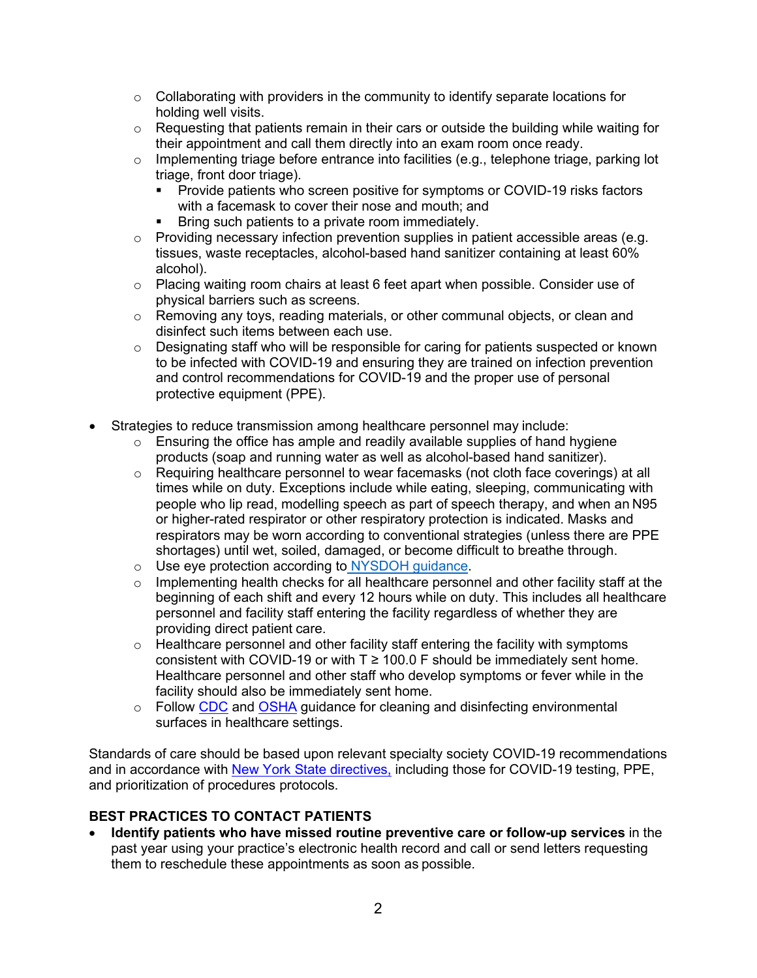- $\circ$  Collaborating with providers in the community to identify separate locations for holding well visits.
- $\circ$  Requesting that patients remain in their cars or outside the building while waiting for their appointment and call them directly into an exam room once ready.
- o Implementing triage before entrance into facilities (e.g., telephone triage, parking lot triage, front door triage).
	- **Provide patients who screen positive for symptoms or COVID-19 risks factors** with a facemask to cover their nose and mouth; and
	- Bring such patients to a private room immediately.
- o Providing necessary infection prevention supplies in patient accessible areas (e.g. tissues, waste receptacles, alcohol-based hand sanitizer containing at least 60% alcohol).
- o Placing waiting room chairs at least 6 feet apart when possible. Consider use of physical barriers such as screens.
- $\circ$  Removing any toys, reading materials, or other communal objects, or clean and disinfect such items between each use.
- o Designating staff who will be responsible for caring for patients suspected or known to be infected with COVID-19 and ensuring they are trained on infection prevention and control recommendations for COVID-19 and the proper use of personal protective equipment (PPE).
- Strategies to reduce transmission among healthcare personnel may include:
	- $\circ$  Ensuring the office has ample and readily available supplies of hand hygiene products (soap and running water as well as alcohol-based hand sanitizer).
	- $\circ$  Requiring healthcare personnel to wear facemasks (not cloth face coverings) at all times while on duty. Exceptions include while eating, sleeping, communicating with people who lip read, modelling speech as part of speech therapy, and when an N95 or higher-rated respirator or other respiratory protection is indicated. Masks and respirators may be worn according to conventional strategies (unless there are PPE shortages) until wet, soiled, damaged, or become difficult to breathe through.
	- o Use eye protection according to [NYSDOH guidance.](https://coronavirus.health.ny.gov/system/files/documents/2020/11/hcp_eye_protection_guidance_112520.pdf)
	- o Implementing health checks for all healthcare personnel and other facility staff at the beginning of each shift and every 12 hours while on duty. This includes all healthcare personnel and facility staff entering the facility regardless of whether they are providing direct patient care.
	- $\circ$  Healthcare personnel and other facility staff entering the facility with symptoms consistent with COVID-19 or with  $T \ge 100.0$  F should be immediately sent home. Healthcare personnel and other staff who develop symptoms or fever while in the facility should also be immediately sent home.
	- o Follow [CDC](https://www.cdc.gov/coronavirus/2019-ncov/hcp/infection-control.html) and [OSHA](https://www.osha.gov/SLTC/covid-19/healthcare-workers.html) guidance for cleaning and disinfecting environmental surfaces in healthcare settings.

Standards of care should be based upon relevant specialty society COVID-19 recommendations and in accordance with [New York State directives,](https://coronavirus.health.ny.gov/information-healthcare-providers) including those for COVID-19 testing, PPE, and prioritization of procedures protocols.

### **BEST PRACTICES TO CONTACT PATIENTS**

• **Identify patients who have missed routine preventive care or follow-up services** in the past year using your practice's electronic health record and call or send letters requesting them to reschedule these appointments as soon as possible.